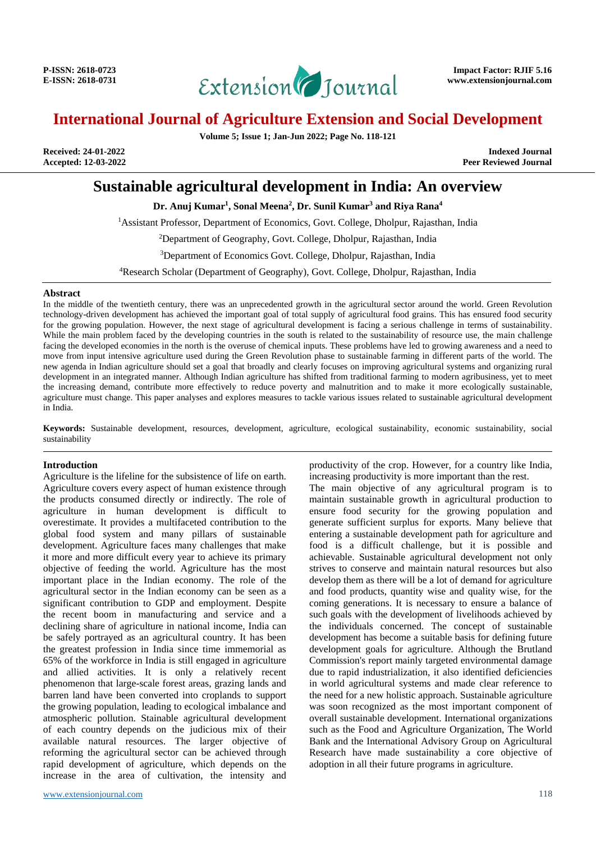

# **International Journal of Agriculture Extension and Social Development**

**Volume 5; Issue 1; Jan-Jun 2022; Page No. 118-121**

**Received: 24-01-2022 Indexed Journal** Peer Reviewed Journal

## **Sustainable agricultural development in India: An overview**

**Dr. Anuj Kumar<sup>1</sup> , Sonal Meena<sup>2</sup> , Dr. Sunil Kumar<sup>3</sup> and Riya Rana<sup>4</sup>**

<sup>1</sup>Assistant Professor, Department of Economics, Govt. College, Dholpur, Rajasthan, India

<sup>2</sup>Department of Geography, Govt. College, Dholpur, Rajasthan, India

<sup>3</sup>Department of Economics Govt. College, Dholpur, Rajasthan, India

<sup>4</sup>Research Scholar (Department of Geography), Govt. College, Dholpur, Rajasthan, India

#### **Abstract**

In the middle of the twentieth century, there was an unprecedented growth in the agricultural sector around the world. Green Revolution technology-driven development has achieved the important goal of total supply of agricultural food grains. This has ensured food security for the growing population. However, the next stage of agricultural development is facing a serious challenge in terms of sustainability. While the main problem faced by the developing countries in the south is related to the sustainability of resource use, the main challenge facing the developed economies in the north is the overuse of chemical inputs. These problems have led to growing awareness and a need to move from input intensive agriculture used during the Green Revolution phase to sustainable farming in different parts of the world. The new agenda in Indian agriculture should set a goal that broadly and clearly focuses on improving agricultural systems and organizing rural development in an integrated manner. Although Indian agriculture has shifted from traditional farming to modern agribusiness, yet to meet the increasing demand, contribute more effectively to reduce poverty and malnutrition and to make it more ecologically sustainable, agriculture must change. This paper analyses and explores measures to tackle various issues related to sustainable agricultural development in India.

**Keywords:** Sustainable development, resources, development, agriculture, ecological sustainability, economic sustainability, social sustainability

## **Introduction**

Agriculture is the lifeline for the subsistence of life on earth. Agriculture covers every aspect of human existence through the products consumed directly or indirectly. The role of agriculture in human development is difficult to overestimate. It provides a multifaceted contribution to the global food system and many pillars of sustainable development. Agriculture faces many challenges that make it more and more difficult every year to achieve its primary objective of feeding the world. Agriculture has the most important place in the Indian economy. The role of the agricultural sector in the Indian economy can be seen as a significant contribution to GDP and employment. Despite the recent boom in manufacturing and service and a declining share of agriculture in national income, India can be safely portrayed as an agricultural country. It has been the greatest profession in India since time immemorial as 65% of the workforce in India is still engaged in agriculture and allied activities. It is only a relatively recent phenomenon that large-scale forest areas, grazing lands and barren land have been converted into croplands to support the growing population, leading to ecological imbalance and atmospheric pollution. Stainable agricultural development of each country depends on the judicious mix of their available natural resources. The larger objective of reforming the agricultural sector can be achieved through rapid development of agriculture, which depends on the increase in the area of cultivation, the intensity and

<www.extensionjournal.com> 118

productivity of the crop. However, for a country like India, increasing productivity is more important than the rest.

The main objective of any agricultural program is to maintain sustainable growth in agricultural production to ensure food security for the growing population and generate sufficient surplus for exports. Many believe that entering a sustainable development path for agriculture and food is a difficult challenge, but it is possible and achievable. Sustainable agricultural development not only strives to conserve and maintain natural resources but also develop them as there will be a lot of demand for agriculture and food products, quantity wise and quality wise, for the coming generations. It is necessary to ensure a balance of such goals with the development of livelihoods achieved by the individuals concerned. The concept of sustainable development has become a suitable basis for defining future development goals for agriculture. Although the Brutland Commission's report mainly targeted environmental damage due to rapid industrialization, it also identified deficiencies in world agricultural systems and made clear reference to the need for a new holistic approach. Sustainable agriculture was soon recognized as the most important component of overall sustainable development. International organizations such as the Food and Agriculture Organization, The World Bank and the International Advisory Group on Agricultural Research have made sustainability a core objective of adoption in all their future programs in agriculture.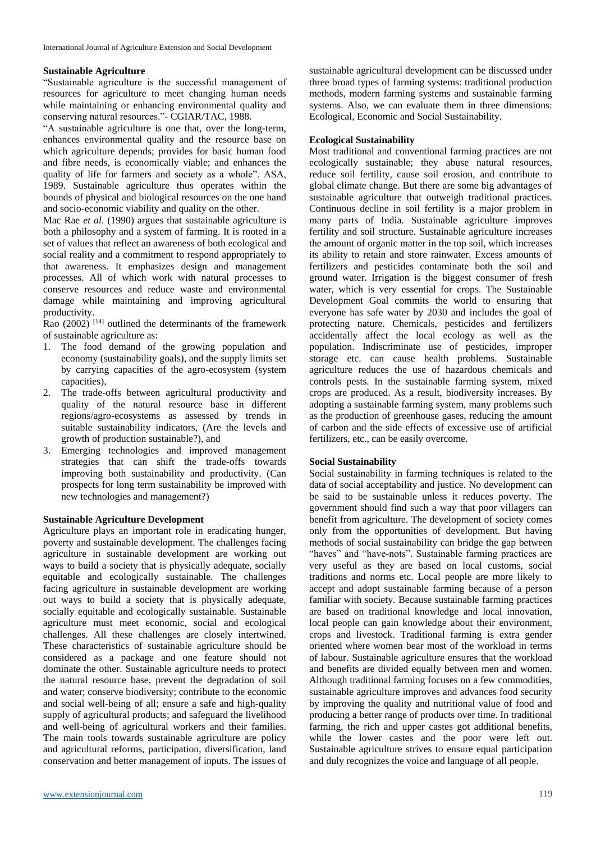## **Sustainable Agriculture**

"Sustainable agriculture is the successful management of resources for agriculture to meet changing human needs while maintaining or enhancing environmental quality and conserving natural resources."- CGIAR/TAC, 1988.

"A sustainable agriculture is one that, over the long-term, enhances environmental quality and the resource base on which agriculture depends; provides for basic human food and fibre needs, is economically viable; and enhances the quality of life for farmers and society as a whole". ASA, 1989. Sustainable agriculture thus operates within the bounds of physical and biological resources on the one hand and socio-economic viability and quality on the other.

Mac Rae *et al*. (1990) argues that sustainable agriculture is both a philosophy and a system of farming. It is rooted in a set of values that reflect an awareness of both ecological and social reality and a commitment to respond appropriately to that awareness. It emphasizes design and management processes. All of which work with natural processes to conserve resources and reduce waste and environmental damage while maintaining and improving agricultural productivity.

Rao  $(2002)$ <sup>[14]</sup> outlined the determinants of the framework of sustainable agriculture as:

- 1. The food demand of the growing population and economy (sustainability goals), and the supply limits set by carrying capacities of the agro-ecosystem (system capacities),
- 2. The trade-offs between agricultural productivity and quality of the natural resource base in different regions/agro-ecosystems as assessed by trends in suitable sustainability indicators, (Are the levels and growth of production sustainable?), and
- 3. Emerging technologies and improved management strategies that can shift the trade-offs towards improving both sustainability and productivity. (Can prospects for long term sustainability be improved with new technologies and management?)

## **Sustainable Agriculture Development**

Agriculture plays an important role in eradicating hunger, poverty and sustainable development. The challenges facing agriculture in sustainable development are working out ways to build a society that is physically adequate, socially equitable and ecologically sustainable. The challenges facing agriculture in sustainable development are working out ways to build a society that is physically adequate, socially equitable and ecologically sustainable. Sustainable agriculture must meet economic, social and ecological challenges. All these challenges are closely intertwined. These characteristics of sustainable agriculture should be considered as a package and one feature should not dominate the other. Sustainable agriculture needs to protect the natural resource base, prevent the degradation of soil and water; conserve biodiversity; contribute to the economic and social well-being of all; ensure a safe and high-quality supply of agricultural products; and safeguard the livelihood and well-being of agricultural workers and their families. The main tools towards sustainable agriculture are policy and agricultural reforms, participation, diversification, land conservation and better management of inputs. The issues of sustainable agricultural development can be discussed under three broad types of farming systems: traditional production methods, modern farming systems and sustainable farming systems. Also, we can evaluate them in three dimensions: Ecological, Economic and Social Sustainability.

## **Ecological Sustainability**

Most traditional and conventional farming practices are not ecologically sustainable; they abuse natural resources, reduce soil fertility, cause soil erosion, and contribute to global climate change. But there are some big advantages of sustainable agriculture that outweigh traditional practices. Continuous decline in soil fertility is a major problem in many parts of India. Sustainable agriculture improves fertility and soil structure. Sustainable agriculture increases the amount of organic matter in the top soil, which increases its ability to retain and store rainwater. Excess amounts of fertilizers and pesticides contaminate both the soil and ground water. Irrigation is the biggest consumer of fresh water, which is very essential for crops. The Sustainable Development Goal commits the world to ensuring that everyone has safe water by 2030 and includes the goal of protecting nature. Chemicals, pesticides and fertilizers accidentally affect the local ecology as well as the population. Indiscriminate use of pesticides, improper storage etc. can cause health problems. Sustainable agriculture reduces the use of hazardous chemicals and controls pests. In the sustainable farming system, mixed crops are produced. As a result, biodiversity increases. By adopting a sustainable farming system, many problems such as the production of greenhouse gases, reducing the amount of carbon and the side effects of excessive use of artificial fertilizers, etc., can be easily overcome.

## **Social Sustainability**

Social sustainability in farming techniques is related to the data of social acceptability and justice. No development can be said to be sustainable unless it reduces poverty. The government should find such a way that poor villagers can benefit from agriculture. The development of society comes only from the opportunities of development. But having methods of social sustainability can bridge the gap between "haves" and "have-nots". Sustainable farming practices are very useful as they are based on local customs, social traditions and norms etc. Local people are more likely to accept and adopt sustainable farming because of a person familiar with society. Because sustainable farming practices are based on traditional knowledge and local innovation, local people can gain knowledge about their environment, crops and livestock. Traditional farming is extra gender oriented where women bear most of the workload in terms of labour. Sustainable agriculture ensures that the workload and benefits are divided equally between men and women. Although traditional farming focuses on a few commodities, sustainable agriculture improves and advances food security by improving the quality and nutritional value of food and producing a better range of products over time. In traditional farming, the rich and upper castes got additional benefits, while the lower castes and the poor were left out. Sustainable agriculture strives to ensure equal participation and duly recognizes the voice and language of all people.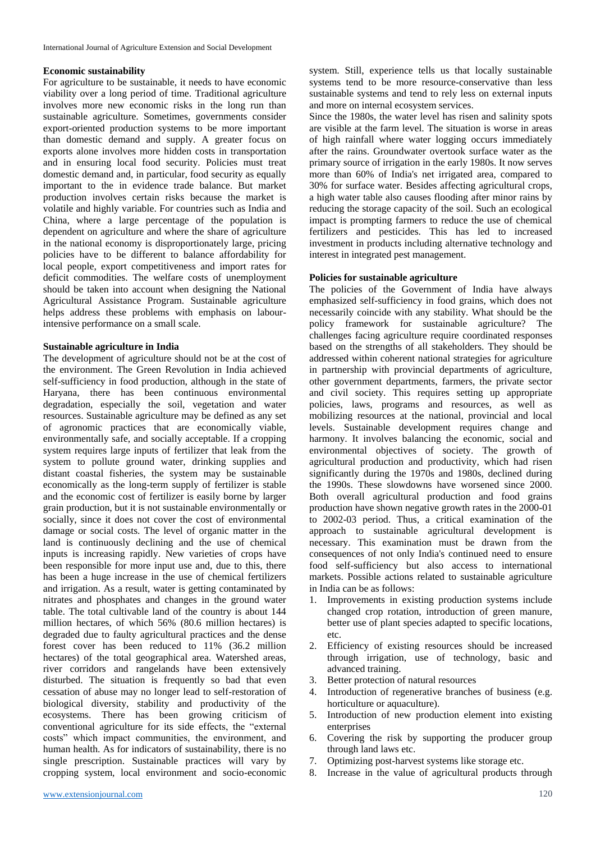### **Economic sustainability**

For agriculture to be sustainable, it needs to have economic viability over a long period of time. Traditional agriculture involves more new economic risks in the long run than sustainable agriculture. Sometimes, governments consider export-oriented production systems to be more important than domestic demand and supply. A greater focus on exports alone involves more hidden costs in transportation and in ensuring local food security. Policies must treat domestic demand and, in particular, food security as equally important to the in evidence trade balance. But market production involves certain risks because the market is volatile and highly variable. For countries such as India and China, where a large percentage of the population is dependent on agriculture and where the share of agriculture in the national economy is disproportionately large, pricing policies have to be different to balance affordability for local people, export competitiveness and import rates for deficit commodities. The welfare costs of unemployment should be taken into account when designing the National Agricultural Assistance Program. Sustainable agriculture helps address these problems with emphasis on labourintensive performance on a small scale.

## **Sustainable agriculture in India**

The development of agriculture should not be at the cost of the environment. The Green Revolution in India achieved self-sufficiency in food production, although in the state of Haryana, there has been continuous environmental degradation, especially the soil, vegetation and water resources. Sustainable agriculture may be defined as any set of agronomic practices that are economically viable, environmentally safe, and socially acceptable. If a cropping system requires large inputs of fertilizer that leak from the system to pollute ground water, drinking supplies and distant coastal fisheries, the system may be sustainable economically as the long-term supply of fertilizer is stable and the economic cost of fertilizer is easily borne by larger grain production, but it is not sustainable environmentally or socially, since it does not cover the cost of environmental damage or social costs. The level of organic matter in the land is continuously declining and the use of chemical inputs is increasing rapidly. New varieties of crops have been responsible for more input use and, due to this, there has been a huge increase in the use of chemical fertilizers and irrigation. As a result, water is getting contaminated by nitrates and phosphates and changes in the ground water table. The total cultivable land of the country is about 144 million hectares, of which 56% (80.6 million hectares) is degraded due to faulty agricultural practices and the dense forest cover has been reduced to 11% (36.2 million hectares) of the total geographical area. Watershed areas, river corridors and rangelands have been extensively disturbed. The situation is frequently so bad that even cessation of abuse may no longer lead to self-restoration of biological diversity, stability and productivity of the ecosystems. There has been growing criticism of conventional agriculture for its side effects, the "external costs" which impact communities, the environment, and human health. As for indicators of sustainability, there is no single prescription. Sustainable practices will vary by cropping system, local environment and socio-economic

system. Still, experience tells us that locally sustainable systems tend to be more resource-conservative than less sustainable systems and tend to rely less on external inputs and more on internal ecosystem services.

Since the 1980s, the water level has risen and salinity spots are visible at the farm level. The situation is worse in areas of high rainfall where water logging occurs immediately after the rains. Groundwater overtook surface water as the primary source of irrigation in the early 1980s. It now serves more than 60% of India's net irrigated area, compared to 30% for surface water. Besides affecting agricultural crops, a high water table also causes flooding after minor rains by reducing the storage capacity of the soil. Such an ecological impact is prompting farmers to reduce the use of chemical fertilizers and pesticides. This has led to increased investment in products including alternative technology and interest in integrated pest management.

## **Policies for sustainable agriculture**

The policies of the Government of India have always emphasized self-sufficiency in food grains, which does not necessarily coincide with any stability. What should be the policy framework for sustainable agriculture? The challenges facing agriculture require coordinated responses based on the strengths of all stakeholders. They should be addressed within coherent national strategies for agriculture in partnership with provincial departments of agriculture, other government departments, farmers, the private sector and civil society. This requires setting up appropriate policies, laws, programs and resources, as well as mobilizing resources at the national, provincial and local levels. Sustainable development requires change and harmony. It involves balancing the economic, social and environmental objectives of society. The growth of agricultural production and productivity, which had risen significantly during the 1970s and 1980s, declined during the 1990s. These slowdowns have worsened since 2000. Both overall agricultural production and food grains production have shown negative growth rates in the 2000-01 to 2002-03 period. Thus, a critical examination of the approach to sustainable agricultural development is necessary. This examination must be drawn from the consequences of not only India's continued need to ensure food self-sufficiency but also access to international markets. Possible actions related to sustainable agriculture in India can be as follows:

- 1. Improvements in existing production systems include changed crop rotation, introduction of green manure, better use of plant species adapted to specific locations, etc.
- 2. Efficiency of existing resources should be increased through irrigation, use of technology, basic and advanced training.
- 3. Better protection of natural resources
- 4. Introduction of regenerative branches of business (e.g. horticulture or aquaculture).
- 5. Introduction of new production element into existing enterprises
- 6. Covering the risk by supporting the producer group through land laws etc.
- 7. Optimizing post-harvest systems like storage etc.
- 8. Increase in the value of agricultural products through